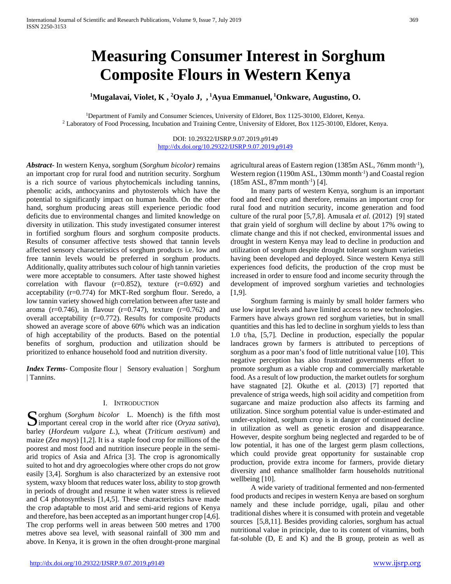# **Measuring Consumer Interest in Sorghum Composite Flours in Western Kenya**

**1 Mugalavai, Violet, K , 2 Oyalo J, , <sup>1</sup> Ayua Emmanuel, <sup>1</sup> Onkware, Augustino, O.**

1Department of Family and Consumer Sciences, University of Eldoret, Box 1125-30100, Eldoret, Kenya. <sup>2</sup> Laboratory of Food Processing, Incubation and Training Centre, University of Eldoret, Box 1125-30100, Eldoret, Kenya.

> DOI: 10.29322/IJSRP.9.07.2019.p9149 <http://dx.doi.org/10.29322/IJSRP.9.07.2019.p9149>

*Abstract***-** In western Kenya, sorghum (*Sorghum bicolor)* remains an important crop for rural food and nutrition security. Sorghum is a rich source of various phytochemicals including tannins, phenolic acids, anthocyanins and phytosterols which have the potential to significantly impact on human health. On the other hand, sorghum producing areas still experience periodic food deficits due to environmental changes and limited knowledge on diversity in utilization. This study investigated consumer interest in fortified sorghum flours and sorghum composite products. Results of consumer affective tests showed that tannin levels affected sensory characteristics of sorghum products i.e. low and free tannin levels would be preferred in sorghum products. Additionally, quality attributes such colour of high tannin varieties were more acceptable to consumers. After taste showed highest correlation with flavour  $(r=0.852)$ , texture  $(r=0.692)$  and acceptability (r=0.774) for MKT-Red sorghum flour. Seredo, a low tannin variety showed high correlation between after taste and aroma (r=0.746), in flavour (r=0.747), texture (r=0.762) and overall acceptability (r=0.772). Results for composite products showed an average score of above 60% which was an indication of high acceptability of the products. Based on the potential benefits of sorghum, production and utilization should be prioritized to enhance household food and nutrition diversity.

*Index Terms*- Composite flour | Sensory evaluation | Sorghum | Tannins.

#### I. INTRODUCTION

Sorghum (*Sorghum bicolor* L. Moench) is the fifth most important cereal crop in the world after rice (*Oryza sativa*),  $\sum$  important cereal crop in the world after rice (*Oryza sativa*), barley (*Hordeum vulgare L*.), wheat (*Triticum aestivum*) and maize (*Zea mays*) [1,2]. It is a staple food crop for millions of the poorest and most food and nutrition insecure people in the semiarid tropics of Asia and Africa [3]. The crop is agronomically suited to hot and dry agroecologies where other crops do not grow easily [3,4]. Sorghum is also characterized by an extensive root system, waxy bloom that reduces water loss, ability to stop growth in periods of drought and resume it when water stress is relieved and C4 photosynthesis [1,4,5]. These characteristics have made the crop adaptable to most arid and semi-arid regions of Kenya and therefore, has been accepted as an important hunger crop [4,6]. The crop performs well in areas between 500 metres and 1700 metres above sea level, with seasonal rainfall of 300 mm and above. In Kenya, it is grown in the often drought-prone marginal

agricultural areas of Eastern region (1385m ASL, 76mm month<sup>-1</sup>), Western region (1190m ASL, 130mm month<sup>-1</sup>) and Coastal region  $(185m ASL, 87mm month^{-1})$  [4].

 In many parts of western Kenya, sorghum is an important food and feed crop and therefore, remains an important crop for rural food and nutrition security, income generation and food culture of the rural poor [5,7,8]. Amusala *et al.* (2012) [9] stated that grain yield of sorghum will decline by about 17% owing to climate change and this if not checked, environmental issues and drought in western Kenya may lead to decline in production and utilization of sorghum despite drought tolerant sorghum varieties having been developed and deployed. Since western Kenya still experiences food deficits, the production of the crop must be increased in order to ensure food and income security through the development of improved sorghum varieties and technologies [1,9].

 Sorghum farming is mainly by small holder farmers who use low input levels and have limited access to new technologies. Farmers have always grown red sorghum varieties, but in small quantities and this has led to decline in sorghum yields to less than 1.0 t/ha, [5,7]. Decline in production, especially the popular landraces grown by farmers is attributed to perceptions of sorghum as a poor man's food of little nutritional value [10]. This negative perception has also frustrated governments effort to promote sorghum as a viable crop and commercially marketable food. As a result of low production, the market outlets for sorghum have stagnated [2]. Okuthe et al. (2013) [7] reported that prevalence of striga weeds, high soil acidity and competition from sugarcane and maize production also affects its farming and utilization. Since sorghum potential value is under-estimated and under-exploited, sorghum crop is in danger of continued decline in utilization as well as genetic erosion and disappearance. However, despite sorghum being neglected and regarded to be of low potential, it has one of the largest germ plasm collections, which could provide great opportunity for sustainable crop production, provide extra income for farmers, provide dietary diversity and enhance smallholder farm households nutritional wellbeing [10].

 A wide variety of traditional fermented and non-fermented food products and recipes in western Kenya are based on sorghum namely and these include porridge, ugali, pilau and other traditional dishes where it is consumed with protein and vegetable sources [5,8,11]. Besides providing calories, sorghum has actual nutritional value in principle, due to its content of vitamins, both fat-soluble (D, E and K) and the B group, protein as well as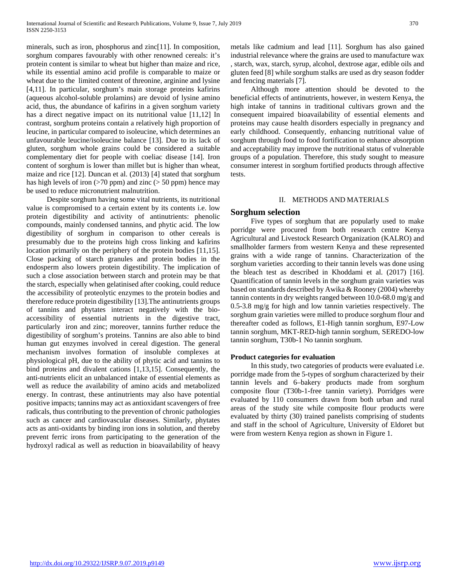minerals, such as iron, phosphorus and zinc[11]. In composition, sorghum compares favourably with other renowned cereals: it's protein content is similar to wheat but higher than maize and rice, while its essential amino acid profile is comparable to maize or wheat due to the limited content of threonine, arginine and lysine [4,11]. In particular, sorghum's main storage proteins kafirins (aqueous alcohol-soluble prolamins) are devoid of lysine amino acid, thus, the abundance of kafirins in a given sorghum variety has a direct negative impact on its nutritional value [11,12] In contrast, sorghum proteins contain a relatively high proportion of leucine, in particular compared to isoleucine, which determines an unfavourable leucine/isoleucine balance [13]. Due to its lack of gluten, sorghum whole grains could be considered a suitable complementary diet for people with coeliac disease [14]. Iron content of sorghum is lower than millet but is higher than wheat, maize and rice [12]. Duncan et al. (2013) [4] stated that sorghum has high levels of iron  $(>70 \text{ ppm})$  and zinc  $(>50 \text{ ppm})$  hence may be used to reduce micronutrient malnutrition.

 Despite sorghum having some vital nutrients, its nutritional value is compromised to a certain extent by its contents i.e. low protein digestibility and activity of antinutrients: phenolic compounds, mainly condensed tannins, and phytic acid. The low digestibility of sorghum in comparison to other cereals is presumably due to the proteins high cross linking and kafirins location primarily on the periphery of the protein bodies [11,15]. Close packing of starch granules and protein bodies in the endosperm also lowers protein digestibility. The implication of such a close association between starch and protein may be that the starch, especially when gelatinised after cooking, could reduce the accessibility of proteolytic enzymes to the protein bodies and therefore reduce protein digestibility [13].The antinutrients groups of tannins and phytates interact negatively with the bioaccessibility of essential nutrients in the digestive tract, particularly iron and zinc; moreover, tannins further reduce the digestibility of sorghum's proteins. Tannins are also able to bind human gut enzymes involved in cereal digestion. The general mechanism involves formation of insoluble complexes at physiological pH, due to the ability of phytic acid and tannins to bind proteins and divalent cations [1,13,15]. Consequently, the anti-nutrients elicit an unbalanced intake of essential elements as well as reduce the availability of amino acids and metabolized energy. In contrast, these antinutrients may also have potential positive impacts; tannins may act as antioxidant scavengers of free radicals, thus contributing to the prevention of chronic pathologies such as cancer and cardiovascular diseases. Similarly, phytates acts as anti-oxidants by binding iron ions in solution, and thereby prevent ferric irons from participating to the generation of the hydroxyl radical as well as reduction in bioavailability of heavy

metals like cadmium and lead [11]. Sorghum has also gained industrial relevance where the grains are used to manufacture wax , starch, wax, starch, syrup, alcohol, dextrose agar, edible oils and gluten feed [8] while sorghum stalks are used as dry season fodder and fencing materials [7].

 Although more attention should be devoted to the beneficial effects of antinutrients, however, in western Kenya, the high intake of tannins in traditional cultivars grown and the consequent impaired bioavailability of essential elements and proteins may cause health disorders especially in pregnancy and early childhood. Consequently, enhancing nutritional value of sorghum through food to food fortification to enhance absorption and acceptability may improve the nutritional status of vulnerable groups of a population. Therefore, this study sought to measure consumer interest in sorghum fortified products through affective tests.

## II. METHODS AND MATERIALS

# **Sorghum selection**

 Five types of sorghum that are popularly used to make porridge were procured from both research centre Kenya Agricultural and Livestock Research Organization (KALRO) and smallholder farmers from western Kenya and these represented grains with a wide range of tannins. Characterization of the sorghum varieties according to their tannin levels was done using the bleach test as described in Khoddami et al. (2017) [16]. Quantification of tannin levels in the sorghum grain varieties was based on standards described by Awika & Rooney (2004) whereby tannin contents in dry weights ranged between 10.0-68.0 mg/g and 0.5-3.8 mg/g for high and low tannin varieties respectively. The sorghum grain varieties were milled to produce sorghum flour and thereafter coded as follows, E1-High tannin sorghum, E97-Low tannin sorghum, MKT-RED-high tannin sorghum, SEREDO-low tannin sorghum, T30b-1 No tannin sorghum.

## **Product categories for evaluation**

 In this study, two categories of products were evaluated i.e. porridge made from the 5-types of sorghum characterized by their tannin levels and 6–bakery products made from sorghum composite flour (T30b-1-free tannin variety). Porridges were evaluated by 110 consumers drawn from both urban and rural areas of the study site while composite flour products were evaluated by thirty (30) trained panelists comprising of students and staff in the school of Agriculture, University of Eldoret but were from western Kenya region as shown in Figure 1.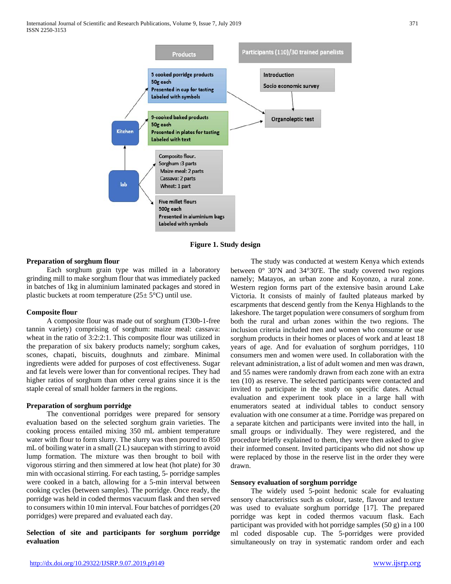

**Figure 1. Study design**

# **Preparation of sorghum flour**

 Each sorghum grain type was milled in a laboratory grinding mill to make sorghum flour that was immediately packed in batches of 1kg in aluminium laminated packages and stored in plastic buckets at room temperature  $(25 \pm 5^{\circ}C)$  until use.

#### **Composite flour**

 A composite flour was made out of sorghum (T30b-1-free tannin variety) comprising of sorghum: maize meal: cassava: wheat in the ratio of 3:2:2:1. This composite flour was utilized in the preparation of six bakery products namely; sorghum cakes, scones, chapati, biscuits, doughnuts and zimbare. Minimal ingredients were added for purposes of cost effectiveness. Sugar and fat levels were lower than for conventional recipes. They had higher ratios of sorghum than other cereal grains since it is the staple cereal of small holder farmers in the regions.

## **Preparation of sorghum porridge**

 The conventional porridges were prepared for sensory evaluation based on the selected sorghum grain varieties. The cooking process entailed mixing 350 mL ambient temperature water with flour to form slurry. The slurry was then poured to 850 mL of boiling water in a small (2 L) saucepan with stirring to avoid lump formation. The mixture was then brought to boil with vigorous stirring and then simmered at low heat (hot plate) for 30 min with occasional stirring. For each tasting, 5- porridge samples were cooked in a batch, allowing for a 5-min interval between cooking cycles (between samples). The porridge. Once ready, the porridge was held in coded thermos vacuum flask and then served to consumers within 10 min interval. Four batches of porridges (20 porridges) were prepared and evaluated each day.

# **Selection of site and participants for sorghum porridge evaluation**

 The study was conducted at western Kenya which extends between 0° 30′N and 34°30′E. The study covered two regions namely; Matayos, an urban zone and Koyonzo, a rural zone. Western region forms part of the extensive basin around Lake Victoria. It consists of mainly of faulted plateaus marked by escarpments that descend gently from the Kenya Highlands to the lakeshore. The target population were consumers of sorghum from both the rural and urban zones within the two regions. The inclusion criteria included men and women who consume or use sorghum products in their homes or places of work and at least 18 years of age. And for evaluation of sorghum porridges, 110 consumers men and women were used. In collaboration with the relevant administration, a list of adult women and men was drawn, and 55 names were randomly drawn from each zone with an extra ten (10) as reserve. The selected participants were contacted and invited to participate in the study on specific dates. Actual evaluation and experiment took place in a large hall with enumerators seated at individual tables to conduct sensory evaluation with one consumer at a time. Porridge was prepared on a separate kitchen and participants were invited into the hall, in small groups or individually. They were registered, and the procedure briefly explained to them, they were then asked to give their informed consent. Invited participants who did not show up were replaced by those in the reserve list in the order they were drawn.

## **Sensory evaluation of sorghum porridge**

 The widely used 5-point hedonic scale for evaluating sensory characteristics such as colour, taste, flavour and texture was used to evaluate sorghum porridge [17]. The prepared porridge was kept in coded thermos vacuum flask. Each participant was provided with hot porridge samples (50 g) in a 100 ml coded disposable cup. The 5-porridges were provided simultaneously on tray in systematic random order and each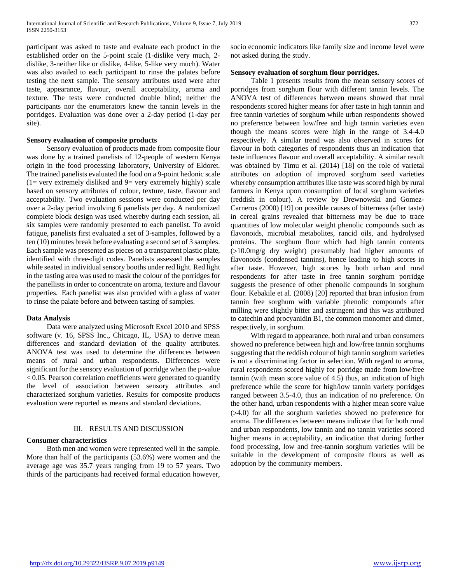participant was asked to taste and evaluate each product in the established order on the 5-point scale (1-dislike very much, 2 dislike, 3-neither like or dislike, 4-like, 5-like very much). Water was also availed to each participant to rinse the palates before testing the next sample. The sensory attributes used were after taste, appearance, flavour, overall acceptability, aroma and texture. The tests were conducted double blind; neither the participants nor the enumerators knew the tannin levels in the porridges. Evaluation was done over a 2-day period (1-day per site).

## **Sensory evaluation of composite products**

 Sensory evaluation of products made from composite flour was done by a trained panelists of 12-people of western Kenya origin in the food processing laboratory, University of Eldoret. The trained panelists evaluated the food on a 9-point hedonic scale  $(1=$  very extremely disliked and  $9=$  very extremely highly) scale based on sensory attributes of colour, texture, taste, flavour and acceptability. Two evaluation sessions were conducted per day over a 2-day period involving 6 panelists per day. A randomized complete block design was used whereby during each session, all six samples were randomly presented to each panelist. To avoid fatigue, panelists first evaluated a set of 3-samples, followed by a ten (10) minutes break before evaluating a second set of 3 samples. Each sample was presented as pieces on a transparent plastic plate, identified with three-digit codes. Panelists assessed the samples while seated in individual sensory booths under red light. Red light in the tasting area was used to mask the colour of the porridges for the panellists in order to concentrate on aroma, texture and flavour properties. Each panelist was also provided with a glass of water to rinse the palate before and between tasting of samples.

#### **Data Analysis**

 Data were analyzed using Microsoft Excel 2010 and SPSS software (v. 16, SPSS Inc., Chicago, IL, USA) to derive mean differences and standard deviation of the quality attributes. ANOVA test was used to determine the differences between means of rural and urban respondents. Differences were significant for the sensory evaluation of porridge when the p-value < 0.05. Pearson correlation coefficients were generated to quantify the level of association between sensory attributes and characterized sorghum varieties. Results for composite products evaluation were reported as means and standard deviations.

#### III. RESULTS AND DISCUSSION

## **Consumer characteristics**

 Both men and women were represented well in the sample. More than half of the participants (53.6%) were women and the average age was 35.7 years ranging from 19 to 57 years. Two thirds of the participants had received formal education however,

socio economic indicators like family size and income level were not asked during the study.

## **Sensory evaluation of sorghum flour porridges.**

 Table 1 presents results from the mean sensory scores of porridges from sorghum flour with different tannin levels. The ANOVA test of differences between means showed that rural respondents scored higher means for after taste in high tannin and free tannin varieties of sorghum while urban respondents showed no preference between low/free and high tannin varieties even though the means scores were high in the range of 3.4-4.0 respectively. A similar trend was also observed in scores for flavour in both categories of respondents thus an indication that taste influences flavour and overall acceptability. A similar result was obtained by Timu et al. (2014) [18] on the role of varietal attributes on adoption of improved sorghum seed varieties whereby consumption attributes like taste was scored high by rural farmers in Kenya upon consumption of local sorghum varieties (reddish in colour). A review by Drewnowski and Gomez-Carneros (2000) [19] on possible causes of bitterness (after taste) in cereal grains revealed that bitterness may be due to trace quantities of low molecular weight phenolic compounds such as flavonoids, microbial metabolites, rancid oils, and hydrolysed proteins. The sorghum flour which had high tannin contents (>10.0mg/g dry weight) presumably had higher amounts of flavonoids (condensed tannins), hence leading to high scores in after taste. However, high scores by both urban and rural respondents for after taste in free tannin sorghum porridge suggests the presence of other phenolic compounds in sorghum flour. Kebakile et al. (2008) [20] reported that bran infusion from tannin free sorghum with variable phenolic compounds after milling were slightly bitter and astringent and this was attributed to catechin and procyanidin B1, the common monomer and dimer, respectively, in sorghum.

 With regard to appearance, both rural and urban consumers showed no preference between high and low/free tannin sorghums suggesting that the reddish colour of high tannin sorghum varieties is not a discriminating factor in selection. With regard to aroma, rural respondents scored highly for porridge made from low/free tannin (with mean score value of 4.5) thus, an indication of high preference while the score for high/low tannin variety porridges ranged between 3.5-4.0, thus an indication of no preference. On the other hand, urban respondents with a higher mean score value (>4.0) for all the sorghum varieties showed no preference for aroma. The differences between means indicate that for both rural and urban respondents, low tannin and no tannin varieties scored higher means in acceptability, an indication that during further food processing, low and free-tannin sorghum varieties will be suitable in the development of composite flours as well as adoption by the community members.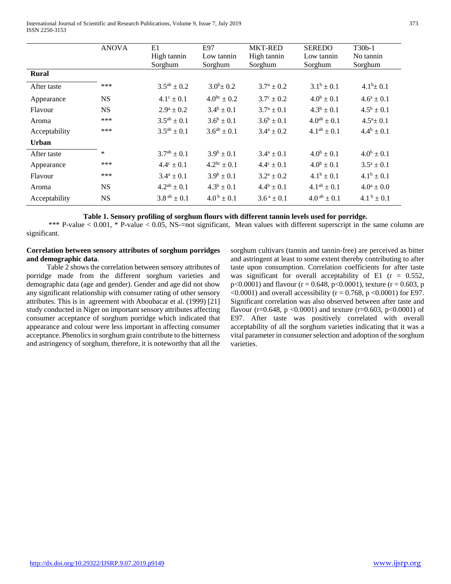International Journal of Scientific and Research Publications, Volume 9, Issue 7, July 2019 373 ISSN 2250-3153

|               | <b>ANOVA</b> | E1<br>High tannin     | E97<br>Low tannin          | <b>MKT-RED</b><br>High tannin | <b>SEREDO</b><br>Low tannin | $T30b-1$<br>No tannin         |
|---------------|--------------|-----------------------|----------------------------|-------------------------------|-----------------------------|-------------------------------|
| <b>Rural</b>  |              | Sorghum               | Sorghum                    | Sorghum                       | Sorghum                     | Sorghum                       |
|               |              |                       |                            |                               |                             |                               |
| After taste   | ***          | $3.5^{ab} \pm 0.2$    | $3.0^b \pm 0.2$            | $3.7^{\rm a} \pm 0.2^{\rm c}$ | $3.1^b \pm 0.1$             | $4.1^b \pm 0.1$               |
| Appearance    | <b>NS</b>    | $4.1^{\circ} \pm 0.1$ | $4.0^{bc} \pm 0.2$         | $3.7^{\circ} \pm 0.2$         | $4.0^b \pm 0.1$             | $4.6^a \pm 0.1$               |
| Flavour       | <b>NS</b>    | $2.9^{\rm a} \pm 0.2$ | $3.4^b \pm 0.1$            | $3.7^a \pm 0.1$               | $4.3^b \pm 0.1$             | $4.5^b \pm 0.1$               |
| Aroma         | ***          | $3.5^{ab} \pm 0.1$    | $3.6^b \pm 0.1$            | $3.6^b \pm 0.1$               | $4.0^{ab} \pm 0.1$          | $4.5^a \pm 0.1$               |
| Acceptability | ***          | $3.5^{ab} \pm 0.1$    | $3.6^{ab} \pm 0.1$         | $3.4^{\rm a} \pm 0.2$         | $4.1^{ab} \pm 0.1$          | $4.4^b \pm 0.1$               |
| <b>Urban</b>  |              |                       |                            |                               |                             |                               |
| After taste   | $\ast$       | $3.7^{ab} \pm 0.1$    | $3.9^b \pm 0.1$            | $3.4^a \pm 0.1$               | $4.0^b \pm 0.1$             | $4.0^b \pm 0.1$               |
| Appearance    | ***          | $4.4^{\circ} \pm 0.1$ | $4.2^{bc} \pm 0.1$         | $4.4^{\circ} \pm 0.1$         | $4.0^b \pm 0.1$             | $3.5^a \pm 0.1$               |
| Flavour       | ***          | $3.4^a \pm 0.1$       | $3.9^b \pm 0.1$            | $3.2^a \pm 0.2$               | $4.1^b \pm 0.1$             | $4.1^b \pm 0.1$               |
| Aroma         | <b>NS</b>    | $4.2^{ab} \pm 0.1$    | $4.3^b \pm 0.1$            | $4.4^b \pm 0.1$               | $4.1^{ab} \pm 0.1$          | $4.0^{\rm a} \pm 0.0^{\rm c}$ |
| Acceptability | <b>NS</b>    | $3.8^{ab} \pm 0.1$    | $4.0^{\mathrm{b}} \pm 0.1$ | $3.6^a \pm 0.1$               | $4.0^{ab} \pm 0.1$          | 4.1 $^{\rm b}$ ± 0.1          |

**Table 1. Sensory profiling of sorghum flours with different tannin levels used for porridge.**

 \*\*\* P-value < 0.001, \* P-value < 0.05, NS-=not significant, Mean values with different superscript in the same column are significant.

# **Correlation between sensory attributes of sorghum porridges and demographic data**.

 Table 2 shows the correlation between sensory attributes of porridge made from the different sorghum varieties and demographic data (age and gender). Gender and age did not show any significant relationship with consumer rating of other sensory attributes. This is in agreement with Aboubacar et al. (1999) [21] study conducted in Niger on important sensory attributes affecting consumer acceptance of sorghum porridge which indicated that appearance and colour were less important in affecting consumer acceptance. Phenolics in sorghum grain contribute to the bitterness and astringency of sorghum, therefore, it is noteworthy that all the sorghum cultivars (tannin and tannin-free) are perceived as bitter and astringent at least to some extent thereby contributing to after taste upon consumption. Correlation coefficients for after taste was significant for overall acceptability of E1 ( $r = 0.552$ ,  $p<0.0001$ ) and flavour (r = 0.648, p<0.0001), texture (r = 0.603, p  $\leq 0.0001$ ) and overall accessibility (r = 0.768, p  $\leq 0.0001$ ) for E97. Significant correlation was also observed between after taste and flavour (r=0.648, p <0.0001) and texture (r=0.603, p <0.0001) of E97. After taste was positively correlated with overall acceptability of all the sorghum varieties indicating that it was a vital parameter in consumer selection and adoption of the sorghum varieties.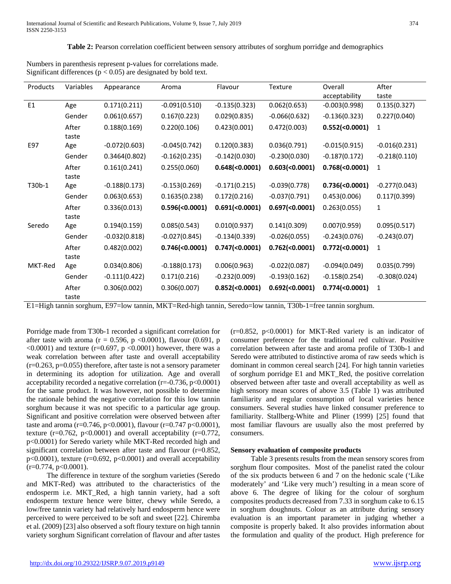**Table 2:** Pearson correlation coefficient between sensory attributes of sorghum porridge and demographics

| Products       | Variables | Appearance      | Aroma           | Flavour               | Texture              | Overall<br>acceptability | After<br>taste  |
|----------------|-----------|-----------------|-----------------|-----------------------|----------------------|--------------------------|-----------------|
| E <sub>1</sub> | Age       | 0.171(0.211)    | $-0.091(0.510)$ | $-0.135(0.323)$       | 0.062(0.653)         | $-0.003(0.998)$          | 0.135(0.327)    |
|                | Gender    | 0.061(0.657)    | 0.167(0.223)    | 0.029(0.835)          | $-0.066(0.632)$      | $-0.136(0.323)$          | 0.227(0.040)    |
|                | After     | 0.188(0.169)    | 0.220(0.106)    | 0.423(0.001)          | 0.472(0.003)         | 0.552(<0.0001)           | 1               |
|                | taste     |                 |                 |                       |                      |                          |                 |
| E97            | Age       | $-0.072(0.603)$ | $-0.045(0.742)$ | 0.120(0.383)          | 0.036(0.791)         | $-0.015(0.915)$          | $-0.016(0.231)$ |
|                | Gender    | 0.3464(0.802)   | $-0.162(0.235)$ | $-0.142(0.030)$       | $-0.230(0.030)$      | $-0.187(0.172)$          | $-0.218(0.110)$ |
|                | After     | 0.161(0.241)    | 0.255(0.060)    | 0.648(<0.0001)        | 0.603(<0.0001)       | 0.768(<0.0001)           | 1               |
|                | taste     |                 |                 |                       |                      |                          |                 |
| T30b-1         | Age       | $-0.188(0.173)$ | $-0.153(0.269)$ | $-0.171(0.215)$       | $-0.039(0.778)$      | 0.736(<0.0001)           | $-0.277(0.043)$ |
|                | Gender    | 0.063(0.653)    | 0.1635(0.238)   | 0.172(0.216)          | $-0.037(0.791)$      | 0.453(0.006)             | 0.117(0.399)    |
|                | After     | 0.336(0.013)    | 0.596(<0.0001)  | 0.691( < 0.0001)      | 0.697(<0.0001)       | 0.263(0.055)             | 1               |
|                | taste     |                 |                 |                       |                      |                          |                 |
| Seredo         | Age       | 0.194(0.159)    | 0.085(0.543)    | 0.010(0.937)          | 0.141(0.309)         | 0.007(0.959)             | 0.095(0.517)    |
|                | Gender    | $-0.032(0.818)$ | $-0.027(0.845)$ | $-0.134(0.339)$       | $-0.026(0.055)$      | $-0.243(0.076)$          | $-0.243(0.07)$  |
|                | After     | 0.482(0.002)    | 0.746(<0.0001)  | $0.747 \times 0.0001$ | $0.762 (\le 0.0001)$ | $0.772 (\le 0.0001)$     | 1               |
|                | taste     |                 |                 |                       |                      |                          |                 |
| MKT-Red        | Age       | 0.034(0.806)    | $-0.188(0.173)$ | 0.006(0.963)          | $-0.022(0.087)$      | $-0.094(0.049)$          | 0.035(0.799)    |
|                | Gender    | $-0.111(0.422)$ | 0.171(0.216)    | $-0.232(0.009)$       | $-0.193(0.162)$      | $-0.158(0.254)$          | $-0.308(0.024)$ |
|                | After     | 0.306(0.002)    | 0.306(0.007)    | 0.852(<0.0001)        | 0.692(<0.0001)       | 0.774(<0.0001)           | 1               |
|                | taste     |                 |                 |                       |                      |                          |                 |

Numbers in parenthesis represent p-values for correlations made. Significant differences ( $p < 0.05$ ) are designated by bold text.

E1=High tannin sorghum, E97=low tannin, MKT=Red-high tannin, Seredo=low tannin, T30b-1=free tannin sorghum.

Porridge made from T30b-1 recorded a significant correlation for after taste with aroma ( $r = 0.596$ ,  $p \lt 0.0001$ ), flavour (0.691, p  $\leq 0.0001$ ) and texture (r=0.697, p  $\leq 0.0001$ ) however, there was a weak correlation between after taste and overall acceptability (r=0.263, p=0.055) therefore, after taste is not a sensory parameter in determining its adoption for utilization. Age and overall acceptability recorded a negative correlation  $(r=0.736, p<0.0001)$ for the same product. It was however, not possible to determine the rationale behind the negative correlation for this low tannin sorghum because it was not specific to a particular age group. Significant and positive correlation were observed between after taste and aroma (r=0.746, p<0.0001), flavour (r=0.747 p<0.0001), texture ( $r=0.762$ ,  $p<0.0001$ ) and overall acceptability ( $r=0.772$ , p<0.0001) for Seredo variety while MKT-Red recorded high and significant correlation between after taste and flavour (r=0.852,  $p<0.0001$ ), texture (r=0.692,  $p<0.0001$ ) and overall acceptability  $(r=0.774, p<0.0001)$ .

 The difference in texture of the sorghum varieties (Seredo and MKT-Red) was attributed to the characteristics of the endosperm i.e. MKT\_Red, a high tannin variety, had a soft endosperm texture hence were bitter, chewy while Seredo, a low/free tannin variety had relatively hard endosperm hence were perceived to were perceived to be soft and sweet [22]. Chiremba et al. (2009) [23] also observed a soft floury texture on high tannin variety sorghum Significant correlation of flavour and after tastes

 $(r=0.852, p<0.0001)$  for MKT-Red variety is an indicator of consumer preference for the traditional red cultivar. Positive correlation between after taste and aroma profile of T30b-1 and Seredo were attributed to distinctive aroma of raw seeds which is dominant in common cereal search [24]. For high tannin varieties of sorghum porridge E1 and MKT\_Red, the positive correlation observed between after taste and overall acceptability as well as high sensory mean scores of above 3.5 (Table 1) was attributed familiarity and regular consumption of local varieties hence consumers. Several studies have linked consumer preference to familiarity. Stallberg-White and Pliner (1999) [25] found that most familiar flavours are usually also the most preferred by consumers.

# **Sensory evaluation of composite products**

 Table 3 presents results from the mean sensory scores from sorghum flour composites. Most of the panelist rated the colour of the six products between 6 and 7 on the hedonic scale ('Like moderately' and 'Like very much') resulting in a mean score of above 6. The degree of liking for the colour of sorghum composites products decreased from 7.33 in sorghum cake to 6.15 in sorghum doughnuts. Colour as an attribute during sensory evaluation is an important parameter in judging whether a composite is properly baked. It also provides information about the formulation and quality of the product. High preference for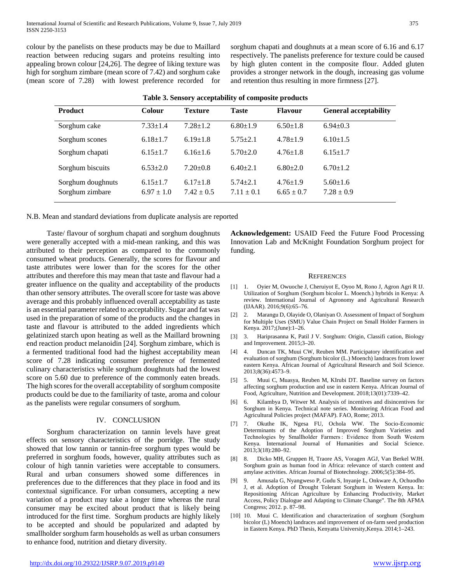colour by the panelists on these products may be due to Maillard reaction between reducing sugars and proteins resulting into appealing brown colour [24,26]. The degree of liking texture was high for sorghum zimbare (mean score of 7.42) and sorghum cake (mean score of 7.28) with lowest preference recorded for

sorghum chapati and doughnuts at a mean score of 6.16 and 6.17 respectively. The panelists preference for texture could be caused by high gluten content in the composite flour. Added gluten provides a stronger network in the dough, increasing gas volume and retention thus resulting in more firmness [27].

| <b>Product</b>                       | <b>Colour</b>                    | <b>Texture</b>                   | <b>Taste</b>                   | <b>Flavour</b>                   | <b>General acceptability</b>     |
|--------------------------------------|----------------------------------|----------------------------------|--------------------------------|----------------------------------|----------------------------------|
| Sorghum cake                         | $7.33 \pm 1.4$                   | $7.28 \pm 1.2$                   | $6.80 \pm 1.9$                 | $6.50 \pm 1.8$                   | $6.94 \pm 0.3$                   |
| Sorghum scones                       | $6.18 \pm 1.7$                   | $6.19 \pm 1.8$                   | $5.75 + 2.1$                   | $4.78 \pm 1.9$                   | $6.10 \pm 1.5$                   |
| Sorghum chapati                      | $6.15 \pm 1.7$                   | $6.16 \pm 1.6$                   | $5.70 + 2.0$                   | $4.76 \pm 1.8$                   | $6.15 \pm 1.7$                   |
| Sorghum biscuits                     | $6.53 + 2.0$                     | $7.20 \pm 0.8$                   | $6.40\pm2.1$                   | $6.80+2.0$                       | $6.70 \pm 1.2$                   |
| Sorghum doughnuts<br>Sorghum zimbare | $6.15 \pm 1.7$<br>$6.97 \pm 1.0$ | $6.17 \pm 1.8$<br>$7.42 \pm 0.5$ | $5.74 + 2.1$<br>$7.11 \pm 0.1$ | $4.76 \pm 1.9$<br>$6.65 \pm 0.7$ | $5.60 \pm 1.6$<br>$7.28 \pm 0.9$ |

|  |  | Table 3. Sensory acceptability of composite products |
|--|--|------------------------------------------------------|
|--|--|------------------------------------------------------|

N.B. Mean and standard deviations from duplicate analysis are reported

 Taste/ flavour of sorghum chapati and sorghum doughnuts were generally accepted with a mid-mean ranking, and this was attributed to their perception as compared to the commonly consumed wheat products. Generally, the scores for flavour and taste attributes were lower than for the scores for the other attributes and therefore this may mean that taste and flavour had a greater influence on the quality and acceptability of the products than other sensory attributes. The overall score for taste was above average and this probably influenced overall acceptability as taste is an essential parameter related to acceptability. Sugar and fat was used in the preparation of some of the products and the changes in taste and flavour is attributed to the added ingredients which gelatinized starch upon heating as well as the Maillard browning end reaction product melanoidin [24]. Sorghum zimbare, which is a fermented traditional food had the highest acceptability mean score of 7.28 indicating consumer preference of fermented culinary characteristics while sorghum doughnuts had the lowest score on 5.60 due to preference of the commonly eaten breads. The high scores for the overall acceptability of sorghum composite products could be due to the familiarity of taste, aroma and colour as the panelists were regular consumers of sorghum.

# IV. CONCLUSION

 Sorghum characterization on tannin levels have great effects on sensory characteristics of the porridge. The study showed that low tannin or tannin-free sorghum types would be preferred in sorghum foods, however, quality attributes such as colour of high tannin varieties were acceptable to consumers. Rural and urban consumers showed some differences in preferences due to the differences that they place in food and its contextual significance. For urban consumers, accepting a new variation of a product may take a longer time whereas the rural consumer may be excited about product that is likely being introduced for the first time. Sorghum products are highly likely to be accepted and should be popularized and adapted by smallholder sorghum farm households as well as urban consumers to enhance food, nutrition and dietary diversity.

**Acknowledgement:** USAID Feed the Future Food Processing Innovation Lab and McKnight Foundation Sorghum project for funding.

#### **REFERENCES**

- [1] 1. Oyier M, Owuoche J, Cheruiyot E, Oyoo M, Rono J, Agron Agri R IJ. Utilization of Sorghum (Sorghum bicolor L. Moench.) hybrids in Kenya: A review. International Journal of Agronomy and Agricultural Research (IJAAR). 2016;9(6):65–76.
- [2] 2. Marangu D, Olayide O, Olaniyan O. Assessment of Impact of Sorghum for Multiple Uses (SMU) Value Chain Project on Small Holder Farmers in Kenya. 2017;(June):1–26.
- [3] 3. Hariprasanna K, Patil J V. Sorghum: Origin, Classifi cation, Biology and Improvement. 2015;3–20.
- [4] 4. Duncan TK, Muui CW, Reuben MM. Participatory identification and evaluation of sorghum (Sorghum bicolor (L.) Moench) landraces from lower eastern Kenya. African Journal of Agricultural Research and Soil Science. 2013;8(36):4573–9.
- [5] 5. Muui C, Muasya, Reuben M, KIrubi DT. Baseline survey on factors affecting sorghum production and use in eastern Kenya. African Journal of Food, Agriculture, Nutrition and Development. 2018;13(01):7339–42.
- [6] 6. Kilambya D, Witwer M. Analysis of incentives and disincentives for Sorghum in Kenya. Technical note series. Monitoring African Food and Agricultural Policies project (MAFAP). FAO, Rome; 2013.
- [7] 7. Okuthe IK, Ngesa FU, Ochola WW. The Socio-Economic Determinants of the Adoption of Improved Sorghum Varieties and Technologies by Smallholder Farmers : Evidence from South Western Kenya. International Journal of Humanities and Social Science. 2013;3(18):280–92.
- [8] 8. Dicko MH, Gruppen H, Traore AS, Voragen AGJ, Van Berkel WJH. Sorghum grain as human food in Africa: relevance of starch content and amylase activities. African Journal of Biotechnology. 2006;5(5):384–95.
- [9] 9. Amusala G, Nyangweso P, Gudu S, Inyanje L, Onkware A, Ochuodho J, et al. Adoption of Drought Tolerant Sorghum in Western Kenya. In: Repositioning African Agriculture by Enhancing Productivity, Market Access, Policy Dialogue and Adapting to Climate Change". The 8th AFMA Congress; 2012. p. 87–98.
- [10] 10. Muui C. Identification and characterization of sorghum (Sorghum bicolor (L) Moench) landraces and improvement of on-farm seed production in Eastern Kenya. PhD Thesis, Kenyatta University,Kenya. 2014;1–243.